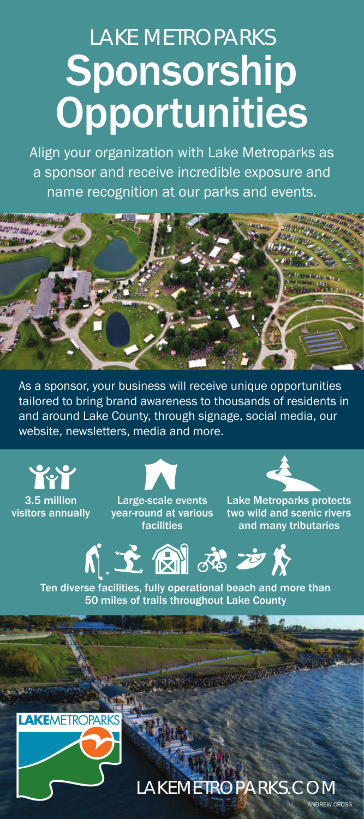## LAKE METROPARKS **Sponsorship Opportunities**

Align your organization with Lake Metroparks as a sponsor and receive incredible exposure and name recognition at our parks and events.



As a sponsor, your business will receive unique opportunities tailored to bring brand awareness to thousands of residents in and around Lake County, through signage, social media, our website, newsletters, media and more.

 $\bullet$ 3.5 million visitors annually



Large-scale events year-round at various facilities



Lake Metroparks protects two wild and scenic rivers and many tributaries



Ten diverse facilities, fully operational beach and more than 50 miles of trails throughout Lake County



LAKEMETROPARKS.COM DREW CROSS

**REAL PROPERTY**